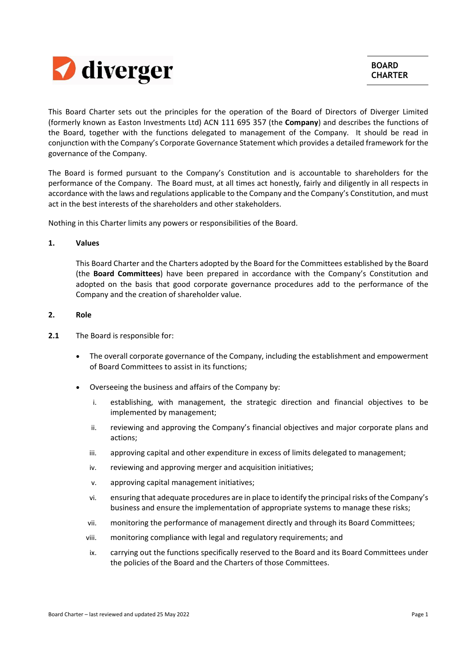

This Board Charter sets out the principles for the operation of the Board of Directors of Diverger Limited (formerly known as Easton Investments Ltd) ACN 111 695 357 (the **Company**) and describes the functions of the Board, together with the functions delegated to management of the Company. It should be read in conjunction with the Company's Corporate Governance Statement which provides a detailed framework for the governance of the Company.

The Board is formed pursuant to the Company's Constitution and is accountable to shareholders for the performance of the Company. The Board must, at all times act honestly, fairly and diligently in all respects in accordance with the laws and regulations applicable to the Company and the Company's Constitution, and must act in the best interests of the shareholders and other stakeholders.

Nothing in this Charter limits any powers or responsibilities of the Board.

## **1. Values**

This Board Charter and the Charters adopted by the Board for the Committees established by the Board (the **Board Committees**) have been prepared in accordance with the Company's Constitution and adopted on the basis that good corporate governance procedures add to the performance of the Company and the creation of shareholder value.

## **2. Role**

- **2.1** The Board is responsible for:
	- The overall corporate governance of the Company, including the establishment and empowerment of Board Committees to assist in its functions;
	- Overseeing the business and affairs of the Company by:
		- i. establishing, with management, the strategic direction and financial objectives to be implemented by management;
		- ii. reviewing and approving the Company's financial objectives and major corporate plans and actions;
		- iii. approving capital and other expenditure in excess of limits delegated to management;
		- iv. reviewing and approving merger and acquisition initiatives;
		- v. approving capital management initiatives;
		- vi. ensuring that adequate procedures are in place to identify the principal risks of the Company's business and ensure the implementation of appropriate systems to manage these risks;
		- vii. monitoring the performance of management directly and through its Board Committees;
		- viii. monitoring compliance with legal and regulatory requirements; and
		- ix. carrying out the functions specifically reserved to the Board and its Board Committees under the policies of the Board and the Charters of those Committees.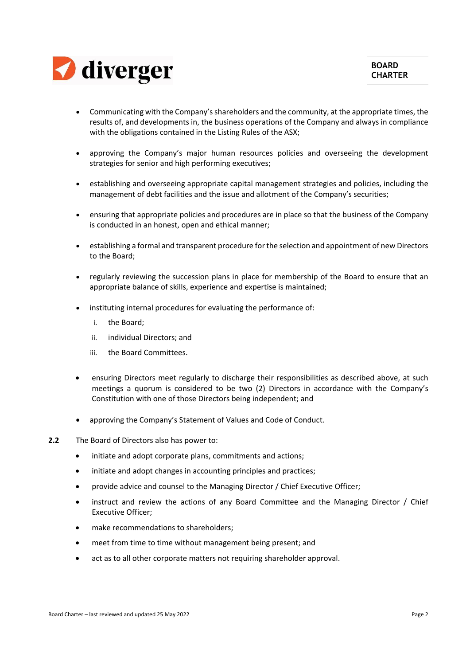

- Communicating with the Company'sshareholders and the community, at the appropriate times, the results of, and developments in, the business operations of the Company and always in compliance with the obligations contained in the Listing Rules of the ASX;
- approving the Company's major human resources policies and overseeing the development strategies for senior and high performing executives;
- establishing and overseeing appropriate capital management strategies and policies, including the management of debt facilities and the issue and allotment of the Company's securities;
- ensuring that appropriate policies and procedures are in place so that the business of the Company is conducted in an honest, open and ethical manner;
- establishing a formal and transparent procedure forthe selection and appointment of new Directors to the Board;
- regularly reviewing the succession plans in place for membership of the Board to ensure that an appropriate balance of skills, experience and expertise is maintained;
- instituting internal procedures for evaluating the performance of:
	- i. the Board;
	- ii. individual Directors; and
	- iii. the Board Committees.
- ensuring Directors meet regularly to discharge their responsibilities as described above, at such meetings a quorum is considered to be two (2) Directors in accordance with the Company's Constitution with one of those Directors being independent; and
- approving the Company's Statement of Values and Code of Conduct.
- **2.2** The Board of Directors also has power to:
	- initiate and adopt corporate plans, commitments and actions;
	- initiate and adopt changes in accounting principles and practices;
	- provide advice and counsel to the Managing Director / Chief Executive Officer;
	- instruct and review the actions of any Board Committee and the Managing Director / Chief Executive Officer;
	- make recommendations to shareholders;
	- meet from time to time without management being present; and
	- act as to all other corporate matters not requiring shareholder approval.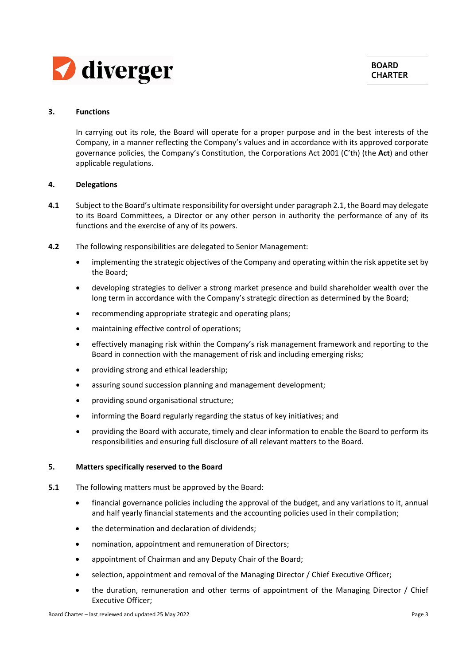

## **3. Functions**

In carrying out its role, the Board will operate for a proper purpose and in the best interests of the Company, in a manner reflecting the Company's values and in accordance with its approved corporate governance policies, the Company's Constitution, the Corporations Act 2001 (C'th) (the **Act**) and other applicable regulations.

## **4. Delegations**

- **4.1** Subject to the Board's ultimate responsibility for oversight under paragraph 2.1, the Board may delegate to its Board Committees, a Director or any other person in authority the performance of any of its functions and the exercise of any of its powers.
- **4.2** The following responsibilities are delegated to Senior Management:
	- implementing the strategic objectives of the Company and operating within the risk appetite set by the Board;
	- developing strategies to deliver a strong market presence and build shareholder wealth over the long term in accordance with the Company's strategic direction as determined by the Board;
	- recommending appropriate strategic and operating plans;
	- maintaining effective control of operations;
	- effectively managing risk within the Company's risk management framework and reporting to the Board in connection with the management of risk and including emerging risks;
	- providing strong and ethical leadership;
	- assuring sound succession planning and management development;
	- providing sound organisational structure;
	- informing the Board regularly regarding the status of key initiatives; and
	- providing the Board with accurate, timely and clear information to enable the Board to perform its responsibilities and ensuring full disclosure of all relevant matters to the Board.

## **5. Matters specifically reserved to the Board**

- **5.1** The following matters must be approved by the Board:
	- financial governance policies including the approval of the budget, and any variations to it, annual and half yearly financial statements and the accounting policies used in their compilation;
	- the determination and declaration of dividends;
	- nomination, appointment and remuneration of Directors;
	- appointment of Chairman and any Deputy Chair of the Board;
	- selection, appointment and removal of the Managing Director / Chief Executive Officer;
	- the duration, remuneration and other terms of appointment of the Managing Director / Chief Executive Officer;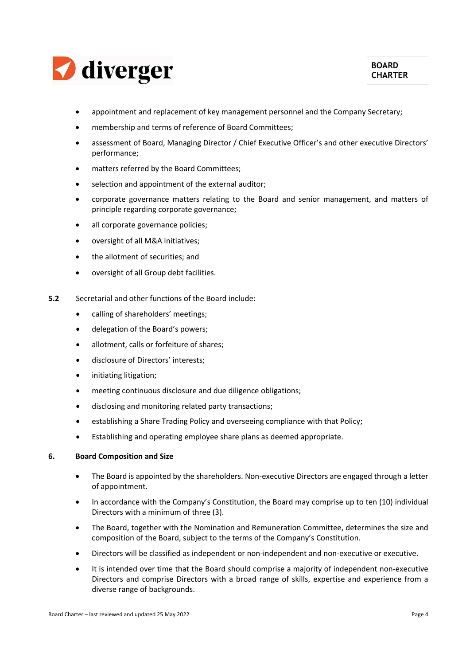

- appointment and replacement of key management personnel and the Company Secretary;
- membership and terms of reference of Board Committees;
- assessment of Board, Managing Director / Chief Executive Officer's and other executive Directors' performance;
- matters referred by the Board Committees;
- selection and appointment of the external auditor;
- corporate governance matters relating to the Board and senior management, and matters of principle regarding corporate governance;
- all corporate governance policies;
- oversight of all M&A initiatives;
- the allotment of securities; and
- oversight of all Group debt facilities.
- **5.2** Secretarial and other functions of the Board include:
	- calling of shareholders' meetings;
	- delegation of the Board's powers;
	- allotment, calls or forfeiture of shares;
	- disclosure of Directors' interests;
	- **•** initiating litigation;
	- meeting continuous disclosure and due diligence obligations;
	- disclosing and monitoring related party transactions;
	- establishing a Share Trading Policy and overseeing compliance with that Policy;
	- Establishing and operating employee share plans as deemed appropriate.

## **6. Board Composition and Size**

- The Board is appointed by the shareholders. Non‐executive Directors are engaged through a letter of appointment.
- In accordance with the Company's Constitution, the Board may comprise up to ten (10) individual Directors with a minimum of three (3).
- The Board, together with the Nomination and Remuneration Committee, determines the size and composition of the Board, subject to the terms of the Company's Constitution.
- Directors will be classified as independent or non‐independent and non‐executive or executive.
- It is intended over time that the Board should comprise a majority of independent non‐executive Directors and comprise Directors with a broad range of skills, expertise and experience from a diverse range of backgrounds.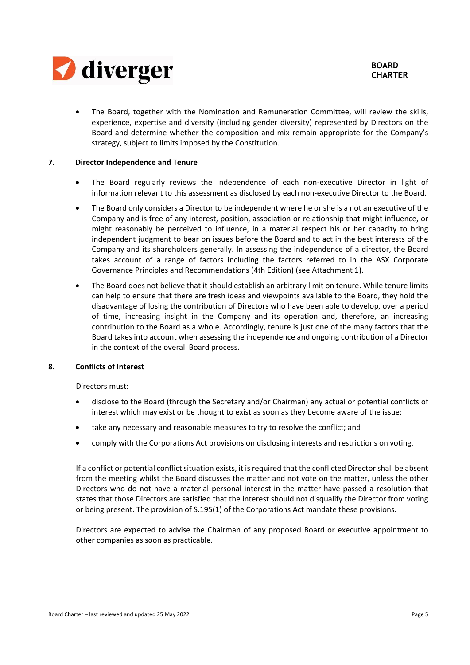

 The Board, together with the Nomination and Remuneration Committee, will review the skills, experience, expertise and diversity (including gender diversity) represented by Directors on the Board and determine whether the composition and mix remain appropriate for the Company's strategy, subject to limits imposed by the Constitution.

## **7. Director Independence and Tenure**

- The Board regularly reviews the independence of each non-executive Director in light of information relevant to this assessment as disclosed by each non‐executive Director to the Board.
- The Board only considers a Director to be independent where he or she is a not an executive of the Company and is free of any interest, position, association or relationship that might influence, or might reasonably be perceived to influence, in a material respect his or her capacity to bring independent judgment to bear on issues before the Board and to act in the best interests of the Company and its shareholders generally. In assessing the independence of a director, the Board takes account of a range of factors including the factors referred to in the ASX Corporate Governance Principles and Recommendations (4th Edition) (see Attachment 1).
- The Board does not believe that it should establish an arbitrary limit on tenure. While tenure limits can help to ensure that there are fresh ideas and viewpoints available to the Board, they hold the disadvantage of losing the contribution of Directors who have been able to develop, over a period of time, increasing insight in the Company and its operation and, therefore, an increasing contribution to the Board as a whole. Accordingly, tenure is just one of the many factors that the Board takes into account when assessing the independence and ongoing contribution of a Director in the context of the overall Board process.

## **8. Conflicts of Interest**

Directors must:

- disclose to the Board (through the Secretary and/or Chairman) any actual or potential conflicts of interest which may exist or be thought to exist as soon as they become aware of the issue;
- take any necessary and reasonable measures to try to resolve the conflict; and
- comply with the Corporations Act provisions on disclosing interests and restrictions on voting.

If a conflict or potential conflict situation exists, it is required that the conflicted Director shall be absent from the meeting whilst the Board discusses the matter and not vote on the matter, unless the other Directors who do not have a material personal interest in the matter have passed a resolution that states that those Directors are satisfied that the interest should not disqualify the Director from voting or being present. The provision of S.195(1) of the Corporations Act mandate these provisions.

Directors are expected to advise the Chairman of any proposed Board or executive appointment to other companies as soon as practicable.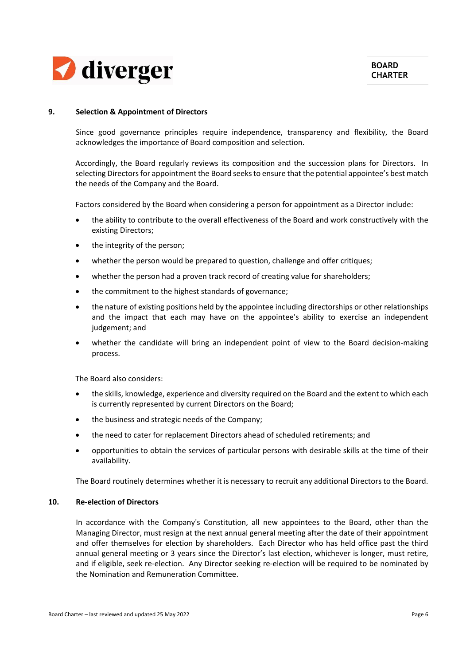

## **9. Selection & Appointment of Directors**

Since good governance principles require independence, transparency and flexibility, the Board acknowledges the importance of Board composition and selection.

Accordingly, the Board regularly reviews its composition and the succession plans for Directors. In selecting Directors for appointment the Board seeks to ensure that the potential appointee's best match the needs of the Company and the Board.

Factors considered by the Board when considering a person for appointment as a Director include:

- the ability to contribute to the overall effectiveness of the Board and work constructively with the existing Directors;
- the integrity of the person;
- whether the person would be prepared to question, challenge and offer critiques;
- whether the person had a proven track record of creating value for shareholders;
- the commitment to the highest standards of governance;
- the nature of existing positions held by the appointee including directorships or other relationships and the impact that each may have on the appointee's ability to exercise an independent judgement; and
- whether the candidate will bring an independent point of view to the Board decision-making process.

The Board also considers:

- the skills, knowledge, experience and diversity required on the Board and the extent to which each is currently represented by current Directors on the Board;
- the business and strategic needs of the Company;
- the need to cater for replacement Directors ahead of scheduled retirements; and
- opportunities to obtain the services of particular persons with desirable skills at the time of their availability.

The Board routinely determines whether it is necessary to recruit any additional Directors to the Board.

## **10. Re‐election of Directors**

In accordance with the Company's Constitution, all new appointees to the Board, other than the Managing Director, must resign at the next annual general meeting after the date of their appointment and offer themselves for election by shareholders. Each Director who has held office past the third annual general meeting or 3 years since the Director's last election, whichever is longer, must retire, and if eligible, seek re-election. Any Director seeking re-election will be required to be nominated by the Nomination and Remuneration Committee.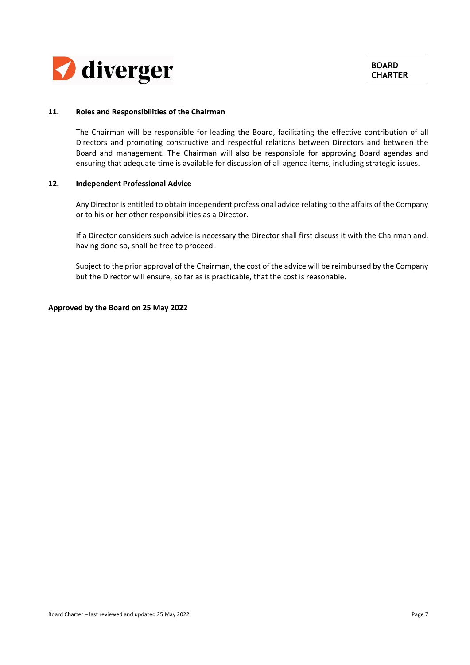

## **11. Roles and Responsibilities of the Chairman**

The Chairman will be responsible for leading the Board, facilitating the effective contribution of all Directors and promoting constructive and respectful relations between Directors and between the Board and management. The Chairman will also be responsible for approving Board agendas and ensuring that adequate time is available for discussion of all agenda items, including strategic issues.

#### **12. Independent Professional Advice**

Any Director is entitled to obtain independent professional advice relating to the affairs of the Company or to his or her other responsibilities as a Director.

If a Director considers such advice is necessary the Director shall first discuss it with the Chairman and, having done so, shall be free to proceed.

Subject to the prior approval of the Chairman, the cost of the advice will be reimbursed by the Company but the Director will ensure, so far as is practicable, that the cost is reasonable.

## **Approved by the Board on 25 May 2022**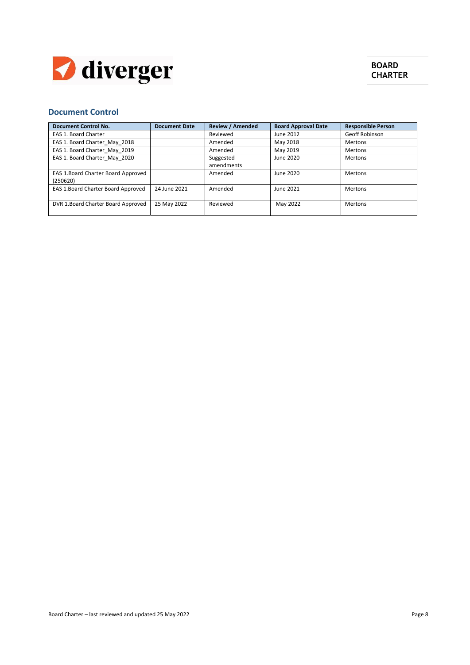

# **Document Control**

| <b>Document Control No.</b>        | <b>Document Date</b> | <b>Review / Amended</b> | <b>Board Approval Date</b> | <b>Responsible Person</b> |
|------------------------------------|----------------------|-------------------------|----------------------------|---------------------------|
| EAS 1. Board Charter               |                      | Reviewed                | June 2012                  | Geoff Robinson            |
| EAS 1. Board Charter May 2018      |                      | Amended                 | May 2018                   | Mertons                   |
| EAS 1. Board Charter May 2019      |                      | Amended                 | May 2019                   | Mertons                   |
| EAS 1. Board Charter May 2020      |                      | Suggested               | June 2020                  | <b>Mertons</b>            |
|                                    |                      | amendments              |                            |                           |
| EAS 1.Board Charter Board Approved |                      | Amended                 | June 2020                  | <b>Mertons</b>            |
| (250620)                           |                      |                         |                            |                           |
| EAS 1.Board Charter Board Approved | 24 June 2021         | Amended                 | June 2021                  | Mertons                   |
|                                    |                      |                         |                            |                           |
| DVR 1.Board Charter Board Approved | 25 May 2022          | Reviewed                | May 2022                   | Mertons                   |
|                                    |                      |                         |                            |                           |